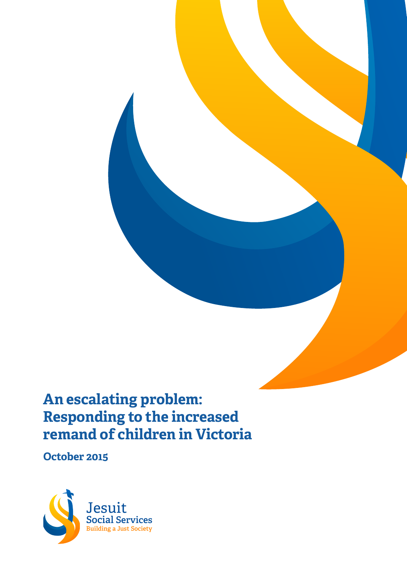# **An escalating problem: Responding to the increased remand of children in Victoria**

**October 2015**

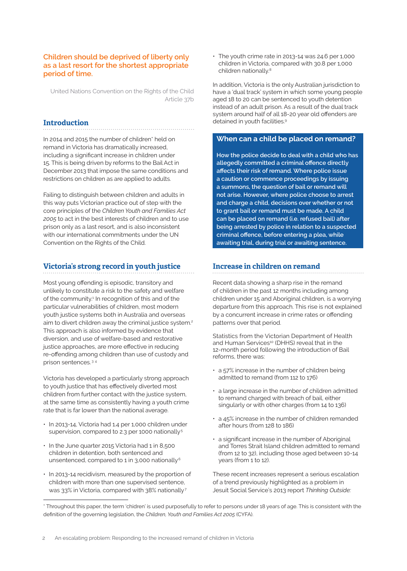## **Children should be deprived of liberty only as a last resort for the shortest appropriate period of time.**

United Nations Convention on the Rights of the Child Article 37b

## **Introduction**

In 2014 and 2015 the number of children\* held on remand in Victoria has dramatically increased, including a significant increase in children under 15. This is being driven by reforms to the Bail Act in December 2013 that impose the same conditions and restrictions on children as are applied to adults.

Failing to distinguish between children and adults in this way puts Victorian practice out of step with the core principles of the *Children Youth and Families Act 2005* to act in the best interests of children and to use prison only as a last resort, and is also inconsistent with our international commitments under the UN Convention on the Rights of the Child.

## **Victoria's strong record in youth justice**

Most young offending is episodic, transitory and unlikely to constitute a risk to the safety and welfare of the community.<sup>1</sup> In recognition of this and of the particular vulnerabilities of children, most modern youth justice systems both in Australia and overseas aim to divert children away the criminal justice system.<sup>2</sup> This approach is also informed by evidence that diversion, and use of welfare-based and restorative justice approaches, are more effective in reducing re-offending among children than use of custody and prison sentences.<sup>34</sup>

Victoria has developed a particularly strong approach to youth justice that has effectively diverted most children from further contact with the justice system, at the same time as consistently having a youth crime rate that is far lower than the national average.

- In 2013-14, Victoria had 1.4 per 1,000 children under supervision, compared to 2.3 per 1000 nationally<sup>5</sup>
- In the June quarter 2015 Victoria had 1 in 8,500 children in detention, both sentenced and unsentenced, compared to 1 in 3,000 nationally<sup>6</sup>
- In 2013-14 recidivism, measured by the proportion of children with more than one supervised sentence, was 33% in Victoria, compared with 38% nationally<sup>7</sup>

• The youth crime rate in 2013-14 was 24.6 per 1,000 children in Victoria, compared with 30.8 per 1,000 children nationally.<sup>8</sup>

In addition, Victoria is the only Australian jurisdiction to have a 'dual track' system in which some young people aged 18 to 20 can be sentenced to youth detention instead of an adult prison. As a result of the dual track system around half of all 18-20 year old offenders are detained in youth facilities.<sup>9</sup>

## **When can a child be placed on remand?**

**How the police decide to deal with a child who has allegedly committed a criminal offence directly affects their risk of remand. Where police issue a caution or commence proceedings by issuing a summons, the question of bail or remand will not arise. However, where police choose to arrest and charge a child, decisions over whether or not to grant bail or remand must be made. A child can be placed on remand (i.e. refused bail) after being arrested by police in relation to a suspected criminal offence, before entering a plea, while awaiting trial, during trial or awaiting sentence.**

## **Increase in children on remand**

Recent data showing a sharp rise in the remand of children in the past 12 months including among children under 15 and Aboriginal children, is a worrying departure from this approach. This rise is not explained by a concurrent increase in crime rates or offending patterns over that period.

Statistics from the Victorian Department of Health and Human Services<sup>10</sup> (DHHS) reveal that in the 12-month period following the introduction of Bail reforms, there was:

- a 57% increase in the number of children being admitted to remand (from 112 to 176)
- a large increase in the number of children admitted to remand charged with breach of bail, either singularly or with other charges (from 14 to 136)
- a 45% increase in the number of children remanded after hours (from 128 to 186)
- a significant increase in the number of Aboriginal and Torres Strait Island children admitted to remand (from 12 to 32), including those aged between 10-14 years (from 1 to 12).

These recent increases represent a serious escalation of a trend previously highlighted as a problem in Jesuit Social Service's 2013 report *Thinking Outside:* 

<sup>\*</sup> Throughout this paper, the term 'chidren' is used purposefully to refer to persons under 18 years of age. This is consistent with the definition of the governing legislation, the *Children, Youth and Families Act 2005* (CYFA).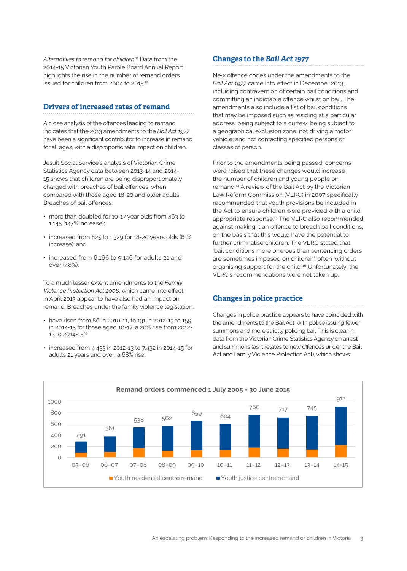*Alternatives to remand for children*. 11 Data from the 2014-15 Victorian Youth Parole Board Annual Report highlights the rise in the number of remand orders issued for children from 2004 to 2015.<sup>12</sup>

## **Drivers of increased rates of remand**

A close analysis of the offences leading to remand indicates that the 2013 amendments to the *Bail Act 1977* have been a significant contributor to increase in remand for all ages, with a disproportionate impact on children.

Jesuit Social Service's analysis of Victorian Crime Statistics Agency data between 2013-14 and 2014- 15 shows that children are being disproportionately charged with breaches of bail offences, when compared with those aged 18-20 and older adults. Breaches of bail offences:

- more than doubled for 10-17 year olds from 463 to 1,145 (147% increase);
- increased from 825 to 1,329 for 18-20 years olds (61% increase); and
- increased from 6,166 to 9,146 for adults 21 and over (48%).

To a much lesser extent amendments to the *Family Violence Protection Act 2008*, which came into effect in April 2013 appear to have also had an impact on remand. Breaches under the family violence legislation:

- have risen from 86 in 2010-11, to 131 in 2012-13 to 159 in 2014-15 for those aged 10-17; a 20% rise from 2012- 13 to 2014-15<sup>13</sup>
- increased from 4,433 in 2012-13 to 7,432 in 2014-15 for adults 21 years and over; a 68% rise.

## **Changes to the** *Bail Act 1977*

New offence codes under the amendments to the *Bail Act 1977* came into effect in December 2013, including contravention of certain bail conditions and committing an indictable offence whilst on bail. The amendments also include a list of bail conditions that may be imposed such as residing at a particular address; being subject to a curfew; being subject to a geographical exclusion zone; not driving a motor vehicle; and not contacting specified persons or classes of person.

Prior to the amendments being passed, concerns were raised that these changes would increase the number of children and young people on remand.14 A review of the Bail Act by the Victorian Law Reform Commission (VLRC) in 2007 specifically recommended that youth provisions be included in the Act to ensure children were provided with a child appropriate response.15 The VLRC also recommended against making it an offence to breach bail conditions, on the basis that this would have the potential to further criminalise children. The VLRC stated that 'bail conditions more onerous than sentencing orders are sometimes imposed on children', often 'without organising support for the child'.16 Unfortunately, the VLRC's recommendations were not taken up.

## **Changes in police practice**

Changes in police practice appears to have coincided with the amendments to the Bail Act, with police issuing fewer summons and more strictly policing bail. This is clear in data from the Victorian Crime Statistics Agency on arrest and summons (as it relates to new offences under the Bail Act and Family Violence Protection Act), which shows:

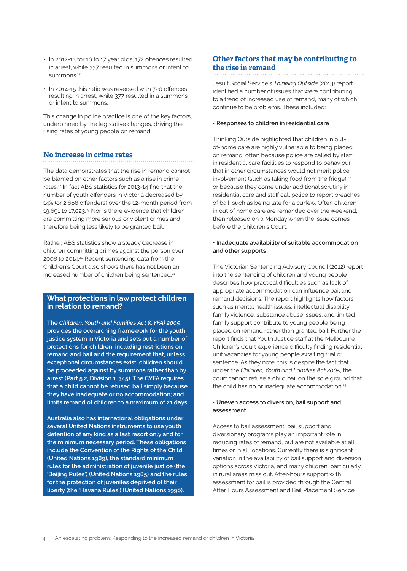- In 2012-13 for 10 to 17 year olds, 172 offences resulted in arrest, while 337 resulted in summons or intent to  $s$ ummons<sup> $17$ </sup>
- In 2014-15 this ratio was reversed with 720 offences resulting in arrest, while 377 resulted in a summons or intent to summons.

This change in police practice is one of the key factors, underpinned by the legislative changes, driving the rising rates of young people on remand.

# **No increase in crime rates**

The data demonstrates that the rise in remand cannot be blamed on other factors such as a rise in crime rates.17 In fact ABS statistics for 2013-14 find that the number of youth offenders in Victoria decreased by 14% (or 2,668 offenders) over the 12-month period from 19,691 to 17,023.19 Nor is there evidence that children are committing more serious or violent crimes and therefore being less likely to be granted bail.

Rather, ABS statistics show a steady decrease in children committing crimes against the person over 2008 to 2014.20 Recent sentencing data from the Children's Court also shows there has not been an increased number of children being sentenced.<sup>21</sup>

## **What protections in law protect children in relation to remand?**

**The** *Children, Youth and Families Act (CYFA) 2005*  **provides the overarching framework for the youth justice system in Victoria and sets out a number of protections for children, including restrictions on remand and bail and the requirement that, unless exceptional circumstances exist, children should be proceeded against by summons rather than by arrest (Part 5.2, Division 1. 345). The CYFA requires that a child cannot be refused bail simply because they have inadequate or no accommodation; and limits remand of children to a maximum of 21 days.** 

**Australia also has international obligations under several United Nations instruments to use youth detention of any kind as a last resort only and for the minimum necessary period. These obligations include the Convention of the Rights of the Child (United Nations 1989), the standard minimum rules for the administration of juvenile justice (the 'Beijing Rules') (United Nations 1985) and the rules for the protection of juveniles deprived of their liberty (the 'Havana Rules') (United Nations 1990).** 

# **Other factors that may be contributing to the rise in remand**

Jesuit Social Service's *Thinking Outside* (2013) report identified a number of issues that were contributing to a trend of increased use of remand, many of which continue to be problems. These included:

#### **• Responses to children in residential care**

Thinking Outside highlighted that children in outof-home care are highly vulnerable to being placed on remand, often because police are called by staff in residential care facilities to respond to behaviour that in other circumstances would not merit police involvement (such as taking food from the fridge);<sup>22</sup> or because they come under additional scrutiny in residential care and staff call police to report breaches of bail, such as being late for a curfew. Often children in out of home care are remanded over the weekend, then released on a Monday when the issue comes before the Children's Court.

#### **• Inadequate availability of suitable accommodation and other supports**

The Victorian Sentencing Advisory Council (2012) report into the sentencing of children and young people describes how practical difficulties such as lack of appropriate accommodation can influence bail and remand decisions. The report highlights how factors such as mental health issues, intellectual disability, family violence, substance abuse issues, and limited family support contribute to young people being placed on remand rather than granted bail. Further the report finds that Youth Justice staff at the Melbourne Children's Court experience difficulty finding residential unit vacancies for young people awaiting trial or sentence. As they note, this is despite the fact that under the *Children, Youth and Families Act 2005*, the court cannot refuse a child bail on the sole ground that the child has no or inadequate accommodation.<sup>23</sup>

#### **• Uneven access to diversion, bail support and assessment**

Access to bail assessment, bail support and diversionary programs play an important role in reducing rates of remand, but are not available at all times or in all locations. Currently there is significant variation in the availability of bail support and diversion options across Victoria, and many children, particularly in rural areas miss out. After-hours support with assessment for bail is provided through the Central After Hours Assessment and Bail Placement Service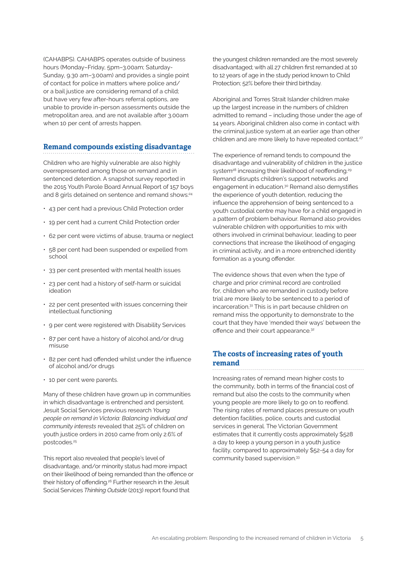(CAHABPS). CAHABPS operates outside of business hours (Monday–Friday, 5pm–3.00am; Saturday-Sunday, 9.30 am–3.00am) and provides a single point of contact for police in matters where police and/ or a bail justice are considering remand of a child; but have very few after-hours referral options, are unable to provide in-person assessments outside the metropolitan area, and are not available after 3.00am when 10 per cent of arrests happen.

## **Remand compounds existing disadvantage**

Children who are highly vulnerable are also highly overrepresented among those on remand and in sentenced detention. A snapshot survey reported in the 2015 Youth Parole Board Annual Report of 157 boys and 8 girls detained on sentence and remand shows:<sup>24</sup>

- 43 per cent had a previous Child Protection order
- 19 per cent had a current Child Protection order
- 62 per cent were victims of abuse, trauma or neglect
- 58 per cent had been suspended or expelled from school
- 33 per cent presented with mental health issues
- 23 per cent had a history of self-harm or suicidal ideation
- 22 per cent presented with issues concerning their intellectual functioning
- 9 per cent were registered with Disability Services
- 87 per cent have a history of alcohol and/or drug misuse
- 82 per cent had offended whilst under the influence of alcohol and/or drugs
- 10 per cent were parents.

Many of these children have grown up in communities in which disadvantage is entrenched and persistent. Jesuit Social Services previous research *Young people on remand in Victoria: Balancing individual and community interests* revealed that 25% of children on youth justice orders in 2010 came from only 2.6% of postcodes.<sup>25</sup>

This report also revealed that people's level of disadvantage, and/or minority status had more impact on their likelihood of being remanded than the offence or their history of offending.26 Further research in the Jesuit Social Services *Thinking Outside* (2013) report found that

the youngest children remanded are the most severely disadvantaged; with all 27 children first remanded at 10 to 12 years of age in the study period known to Child Protection; 52% before their third birthday.

Aboriginal and Torres Strait Islander children make up the largest increase in the numbers of children admitted to remand – including those under the age of 14 years. Aboriginal children also come in contact with the criminal justice system at an earlier age than other children and are more likely to have repeated contact.<sup>27</sup>

The experience of remand tends to compound the disadvantage and vulnerability of children in the justice system<sup>28</sup> increasing their likelihood of reoffending.<sup>29</sup> Remand disrupts children's support networks and engagement in education.<sup>30</sup> Remand also demystifies the experience of youth detention, reducing the influence the apprehension of being sentenced to a youth custodial centre may have for a child engaged in a pattern of problem behaviour. Remand also provides vulnerable children with opportunities to mix with others involved in criminal behaviour, leading to peer connections that increase the likelihood of engaging in criminal activity, and in a more entrenched identity formation as a young offender.

The evidence shows that even when the type of charge and prior criminal record are controlled for, children who are remanded in custody before trial are more likely to be sentenced to a period of incarceration.31 This is in part because children on remand miss the opportunity to demonstrate to the court that they have 'mended their ways' between the offence and their court appearance.<sup>32</sup>

## **The costs of increasing rates of youth remand**

Increasing rates of remand mean higher costs to the community, both in terms of the financial cost of remand but also the costs to the community when young people are more likely to go on to reoffend. The rising rates of remand places pressure on youth detention facilities, police, courts and custodial services in general. The Victorian Government estimates that it currently costs approximately \$528 a day to keep a young person in a youth justice facility, compared to approximately \$52-54 a day for community based supervision.33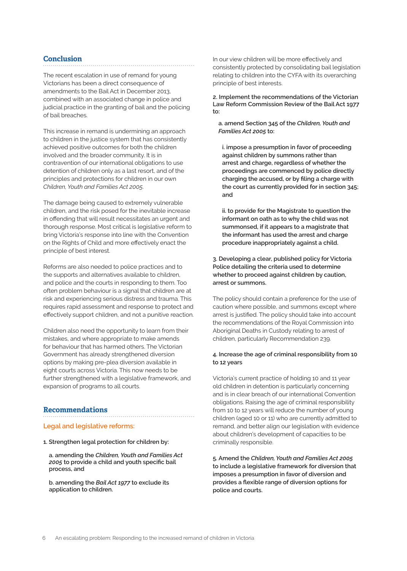## **Conclusion**

The recent escalation in use of remand for young Victorians has been a direct consequence of amendments to the Bail Act in December 2013, combined with an associated change in police and judicial practice in the granting of bail and the policing of bail breaches.

This increase in remand is undermining an approach to children in the justice system that has consistently achieved positive outcomes for both the children involved and the broader community. It is in contravention of our international obligations to use detention of children only as a last resort, and of the principles and protections for children in our own *Children, Youth and Families Act 2005*.

The damage being caused to extremely vulnerable children, and the risk posed for the inevitable increase in offending that will result necessitates an urgent and thorough response. Most critical is legislative reform to bring Victoria's response into line with the Convention on the Rights of Child and more effectively enact the principle of best interest.

Reforms are also needed to police practices and to the supports and alternatives available to children, and police and the courts in responding to them. Too often problem behaviour is a signal that children are at risk and experiencing serious distress and trauma. This requires rapid assessment and response to protect and effectively support children, and not a punitive reaction.

Children also need the opportunity to learn from their mistakes, and where appropriate to make amends for behaviour that has harmed others. The Victorian Government has already strengthened diversion options by making pre-plea diversion available in eight courts across Victoria. This now needs to be further strengthened with a legislative framework, and expansion of programs to all courts.

## **Recommendations**

#### **Legal and legislative reforms:**

**1. Strengthen legal protection for children by:**

**a. amending the** *Children, Youth and Families Act 2005* **to provide a child and youth specific bail process, and** 

**b. amending the** *Bail Act 1977* **to exclude its application to children.**

In our view children will be more effectively and consistently protected by consolidating bail legislation relating to children into the CYFA with its overarching principle of best interests.

**2. Implement the recommendations of the Victorian Law Reform Commission Review of the Bail Act 1977 to:**

**a. amend Section 345 of the** *Children, Youth and Families Act 2005* **to:**

**i. impose a presumption in favor of proceeding against children by summons rather than arrest and charge, regardless of whether the proceedings are commenced by police directly charging the accused, or by filing a charge with the court as currently provided for in section 345; and** 

**ii. to provide for the Magistrate to question the informant on oath as to why the child was not summonsed, if it appears to a magistrate that the informant has used the arrest and charge procedure inappropriately against a child.**

**3. Developing a clear, published policy for Victoria Police detailing the criteria used to determine whether to proceed against children by caution, arrest or summons.**

The policy should contain a preference for the use of caution where possible, and summons except where arrest is justified. The policy should take into account the recommendations of the Royal Commission into Aboriginal Deaths in Custody relating to arrest of children, particularly Recommendation 239.

## **4. Increase the age of criminal responsibility from 10 to 12 years**

Victoria's current practice of holding 10 and 11 year old children in detention is particularly concerning and is in clear breach of our international Convention obligations. Raising the age of criminal responsibility from 10 to 12 years will reduce the number of young children (aged 10 or 11) who are currently admitted to remand, and better align our legislation with evidence about children's development of capacities to be criminally responsible.

**5. Amend the** *Children, Youth and Families Act 2005* **to include a legislative framework for diversion that imposes a presumption in favor of diversion and provides a flexible range of diversion options for police and courts.**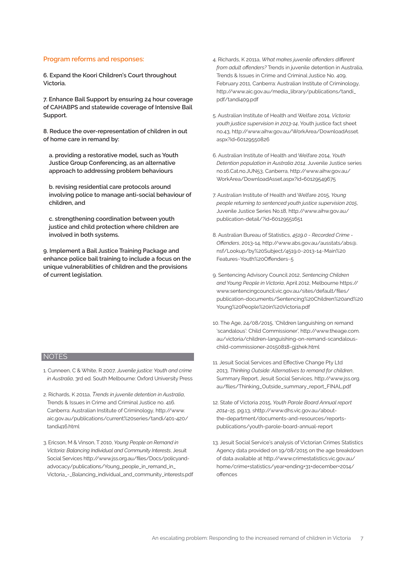#### **Program reforms and responses:**

**6. Expand the Koori Children's Court throughout Victoria.**

**7. Enhance Bail Support by ensuring 24 hour coverage of CAHABPS and statewide coverage of Intensive Bail Support.**

**8. Reduce the over-representation of children in out of home care in remand by:** 

**a. providing a restorative model, such as Youth Justice Group Conferencing, as an alternative approach to addressing problem behaviours** 

**b. revising residential care protocols around involving police to manage anti-social behaviour of children, and**

**c. strengthening coordination between youth justice and child protection where children are involved in both systems.**

**9. Implement a Bail Justice Training Package and enhance police bail training to include a focus on the unique vulnerabilities of children and the provisions of current legislation.**

- **NOTES**
- 1. Cunneen, C & White, R 2007, *Juvenile justice: Youth and crime in Australia*, 3rd ed. South Melbourne: Oxford University Press
- 2. Richards, K 2011a, *Trends in juvenile detention in Australia*, Trends & Issues in Crime and Criminal Justice no. 416. Canberra: Australian Institute of Criminology, http://www. aic.gov.au/publications/current%20series/tandi/401-420/ tandi416.html
- 3. Ericson, M & Vinson, T 2010, *Young People on Remand in Victoria: Balancing Individual and Community Interests*, Jesuit Social Services http://www.jss.org.au/files/Docs/policyandadvocacy/publications/Young\_people\_in\_remand\_in\_ Victoria\_-\_Balancing\_individual\_and\_community\_interests.pdf
- 4. Richards, K 2011a, *What makes juvenile offenders different from adult offenders?* Trends in juvenile detention in Australia, Trends & Issues in Crime and Criminal Justice No. 409, February 2011, Canberra: Australian Institute of Criminology, http://www.aic.gov.au/media\_library/publications/tandi\_ pdf/tandi409.pdf
- 5. Australian Institute of Health and Welfare 2014, *Victoria: youth justice supervision in 2013-14*, Youth justice fact sheet no.43, http://www.aihw.gov.au/WorkArea/DownloadAsset. aspx?id=60129550826
- 6. Australian Institute of Health and Welfare 2014, *Youth Detention population in Australia 2014*, Juvenile Justice series no.16.Cat.no.JUN53, Canberra, http://www.aihw.gov.au/ WorkArea/DownloadAsset.aspx?id=60129549675
- 7. Australian Institute of Health and Welfare 2015, *Young people returning to sentenced youth justice supervision 2015*, Juvenile Justice Series No.18, http://www.aihw.gov.au/ publication-detail/?id=60129551651
- 8. Australian Bureau of Statistics, *4519.0 Recorded Crime Offenders*, 2013-14, http://www.abs.gov.au/ausstats/abs@. nsf/Lookup/by%20Subject/4519.0~2013-14~Main%20 Features~Youth%20Offenders~5
- 9. Sentencing Advisory Council 2012, *Sentencing Children and Young People in Victoria*, April 2012, Melbourne https:// www.sentencingcouncil.vic.gov.au/sites/default/files/ publication-documents/Sentencing%20Children%20and%20 Young%20People%20in%20Victoria.pdf
- 10. The Age, 24/08/2015, 'Children languishing on remand 'scandalous': Child Commissioner', http://www.theage.com. au/victoria/children-languishing-on-remand-scandalouschild-commissioner-20150818-gj1hek.html
- 11. Jesuit Social Services and Effective Change Pty Ltd 2013, *Thinking Outside: Alternatives to remand for children*, Summary Report, Jesuit Social Services, http://www.jss.org. au/files/Thinking\_Outside\_summary\_report\_FINAL.pdf
- 12. State of Victoria 2015, *Youth Parole Board Annual report 2014–15*, pg.13, shttp://www.dhs.vic.gov.au/aboutthe-department/documents-and-resources/reportspublications/youth-parole-board-annual-report
- 13. Jesuit Social Service's analysis of Victorian Crimes Statistics Agency data provided on 19/08/2015 on the age breakdown of data available at http://www.crimestatistics.vic.gov.au/ home/crime+statistics/year+ending+31+december+2014/ offences